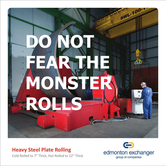

## **Heavy Steel Plate Rolling**

Cold Rolled to 7" Thick, Hot Rolled to 12" Thick